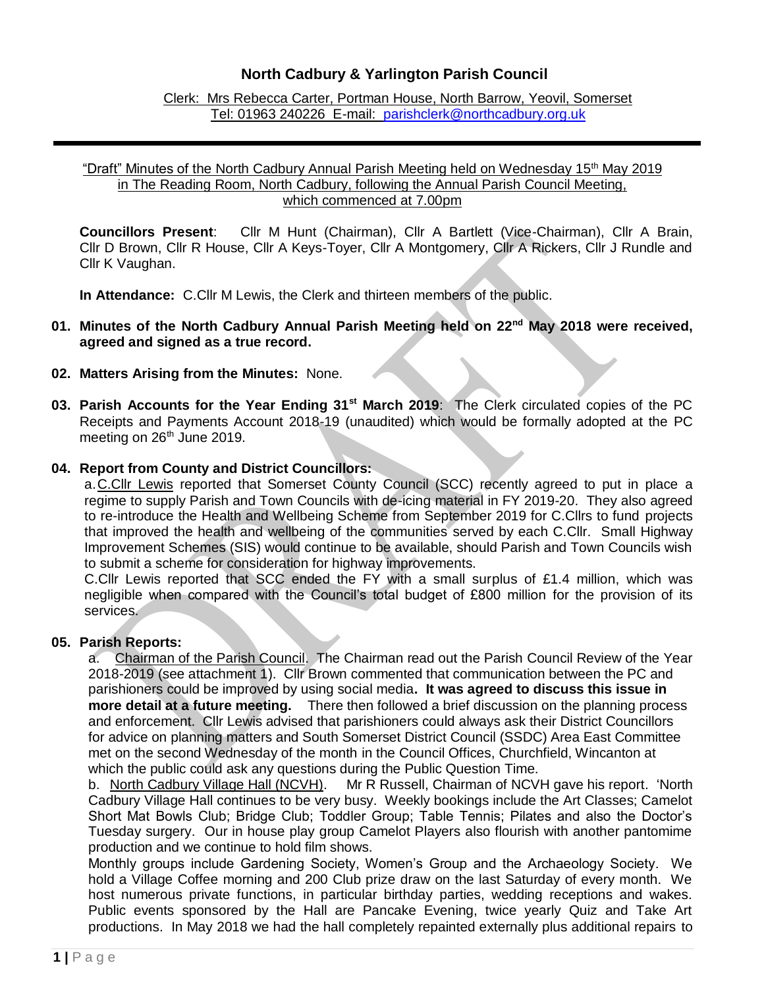# **North Cadbury & Yarlington Parish Council**

Clerk: Mrs Rebecca Carter, Portman House, North Barrow, Yeovil, Somerset Tel: 01963 240226 E-mail: [parishclerk@northcadbury.org.uk](mailto:parishclerk@northcadbury.org.uk)

### "Draft" Minutes of the North Cadbury Annual Parish Meeting held on Wednesday 15<sup>th</sup> May 2019 in The Reading Room, North Cadbury, following the Annual Parish Council Meeting, which commenced at 7.00pm

**Councillors Present**: Cllr M Hunt (Chairman), Cllr A Bartlett (Vice-Chairman), Cllr A Brain, Cllr D Brown, Cllr R House, Cllr A Keys-Toyer, Cllr A Montgomery, Cllr A Rickers, Cllr J Rundle and Cllr K Vaughan.

**In Attendance:** C.Cllr M Lewis, the Clerk and thirteen members of the public.

- **01. Minutes of the North Cadbury Annual Parish Meeting held on 22 nd May 2018 were received, agreed and signed as a true record.**
- **02. Matters Arising from the Minutes:** None.
- **03. Parish Accounts for the Year Ending 31st March 2019**: The Clerk circulated copies of the PC Receipts and Payments Account 2018-19 (unaudited) which would be formally adopted at the PC meeting on 26<sup>th</sup> June 2019.
- **04. Report from County and District Councillors:**

a.C.Cllr Lewis reported that Somerset County Council (SCC) recently agreed to put in place a regime to supply Parish and Town Councils with de-icing material in FY 2019-20. They also agreed to re-introduce the Health and Wellbeing Scheme from September 2019 for C.Cllrs to fund projects that improved the health and wellbeing of the communities served by each C.Cllr. Small Highway Improvement Schemes (SIS) would continue to be available, should Parish and Town Councils wish to submit a scheme for consideration for highway improvements.

C.Cllr Lewis reported that SCC ended the FY with a small surplus of £1.4 million, which was negligible when compared with the Council's total budget of £800 million for the provision of its services.

### **05. Parish Reports:**

a. Chairman of the Parish Council. The Chairman read out the Parish Council Review of the Year 2018-2019 (see attachment 1). Cllr Brown commented that communication between the PC and parishioners could be improved by using social media**. It was agreed to discuss this issue in more detail at a future meeting.** There then followed a brief discussion on the planning process and enforcement. Cllr Lewis advised that parishioners could always ask their District Councillors for advice on planning matters and South Somerset District Council (SSDC) Area East Committee met on the second Wednesday of the month in the Council Offices, Churchfield, Wincanton at which the public could ask any questions during the Public Question Time.

b. North Cadbury Village Hall (NCVH). Mr R Russell, Chairman of NCVH gave his report. 'North Cadbury Village Hall continues to be very busy. Weekly bookings include the Art Classes; Camelot Short Mat Bowls Club; Bridge Club; Toddler Group; Table Tennis; Pilates and also the Doctor's Tuesday surgery. Our in house play group Camelot Players also flourish with another pantomime production and we continue to hold film shows.

Monthly groups include Gardening Society, Women's Group and the Archaeology Society. We hold a Village Coffee morning and 200 Club prize draw on the last Saturday of every month. We host numerous private functions, in particular birthday parties, wedding receptions and wakes. Public events sponsored by the Hall are Pancake Evening, twice yearly Quiz and Take Art productions. In May 2018 we had the hall completely repainted externally plus additional repairs to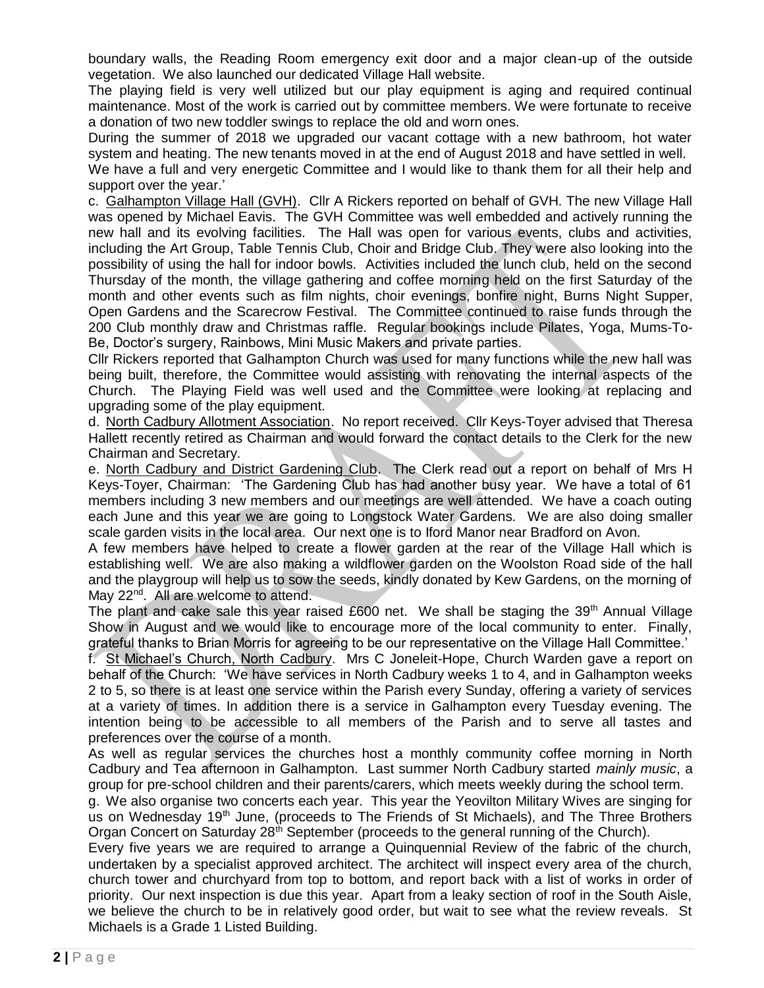boundary walls, the Reading Room emergency exit door and a major clean-up of the outside vegetation. We also launched our dedicated Village Hall website.

The playing field is very well utilized but our play equipment is aging and required continual maintenance. Most of the work is carried out by committee members. We were fortunate to receive a donation of two new toddler swings to replace the old and worn ones.

During the summer of 2018 we upgraded our vacant cottage with a new bathroom, hot water system and heating. The new tenants moved in at the end of August 2018 and have settled in well.

We have a full and very energetic Committee and I would like to thank them for all their help and support over the year.'

c. Galhampton Village Hall (GVH). Cllr A Rickers reported on behalf of GVH. The new Village Hall was opened by Michael Eavis. The GVH Committee was well embedded and actively running the new hall and its evolving facilities. The Hall was open for various events, clubs and activities, including the Art Group, Table Tennis Club, Choir and Bridge Club. They were also looking into the possibility of using the hall for indoor bowls. Activities included the lunch club, held on the second Thursday of the month, the village gathering and coffee morning held on the first Saturday of the month and other events such as film nights, choir evenings, bonfire night, Burns Night Supper, Open Gardens and the Scarecrow Festival. The Committee continued to raise funds through the 200 Club monthly draw and Christmas raffle. Regular bookings include Pilates, Yoga, Mums-To-Be, Doctor's surgery, Rainbows, Mini Music Makers and private parties.

Cllr Rickers reported that Galhampton Church was used for many functions while the new hall was being built, therefore, the Committee would assisting with renovating the internal aspects of the Church. The Playing Field was well used and the Committee were looking at replacing and upgrading some of the play equipment.

d. North Cadbury Allotment Association. No report received. Cllr Keys-Toyer advised that Theresa Hallett recently retired as Chairman and would forward the contact details to the Clerk for the new Chairman and Secretary.

e. North Cadbury and District Gardening Club. The Clerk read out a report on behalf of Mrs H Keys-Toyer, Chairman: 'The Gardening Club has had another busy year. We have a total of 61 members including 3 new members and our meetings are well attended. We have a coach outing each June and this year we are going to Longstock Water Gardens. We are also doing smaller scale garden visits in the local area. Our next one is to Iford Manor near Bradford on Avon.

A few members have helped to create a flower garden at the rear of the Village Hall which is establishing well. We are also making a wildflower garden on the Woolston Road side of the hall and the playgroup will help us to sow the seeds, kindly donated by Kew Gardens, on the morning of May 22<sup>nd</sup>. All are welcome to attend.

The plant and cake sale this year raised £600 net. We shall be staging the 39<sup>th</sup> Annual Village Show in August and we would like to encourage more of the local community to enter. Finally, grateful thanks to Brian Morris for agreeing to be our representative on the Village Hall Committee.'

f. St Michael's Church, North Cadbury. Mrs C Joneleit-Hope, Church Warden gave a report on behalf of the Church: 'We have services in North Cadbury weeks 1 to 4, and in Galhampton weeks 2 to 5, so there is at least one service within the Parish every Sunday, offering a variety of services at a variety of times. In addition there is a service in Galhampton every Tuesday evening. The intention being to be accessible to all members of the Parish and to serve all tastes and preferences over the course of a month.

As well as regular services the churches host a monthly community coffee morning in North Cadbury and Tea afternoon in Galhampton. Last summer North Cadbury started *mainly music*, a group for pre-school children and their parents/carers, which meets weekly during the school term.

g. We also organise two concerts each year. This year the Yeovilton Military Wives are singing for us on Wednesday 19<sup>th</sup> June, (proceeds to The Friends of St Michaels), and The Three Brothers Organ Concert on Saturday  $28<sup>th</sup>$  September (proceeds to the general running of the Church).

Every five years we are required to arrange a Quinquennial Review of the fabric of the church, undertaken by a specialist approved architect. The architect will inspect every area of the church, church tower and churchyard from top to bottom, and report back with a list of works in order of priority. Our next inspection is due this year. Apart from a leaky section of roof in the South Aisle, we believe the church to be in relatively good order, but wait to see what the review reveals. St Michaels is a Grade 1 Listed Building.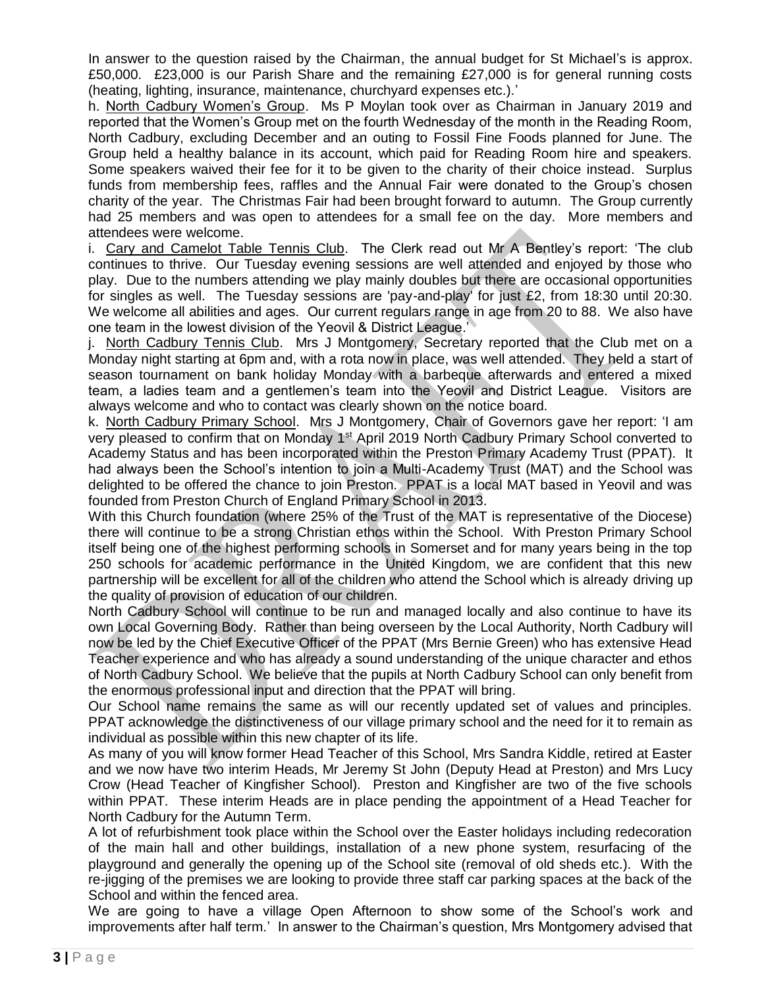In answer to the question raised by the Chairman, the annual budget for St Michael's is approx. £50,000. £23,000 is our Parish Share and the remaining £27,000 is for general running costs (heating, lighting, insurance, maintenance, churchyard expenses etc.).'

h. North Cadbury Women's Group. Ms P Moylan took over as Chairman in January 2019 and reported that the Women's Group met on the fourth Wednesday of the month in the Reading Room, North Cadbury, excluding December and an outing to Fossil Fine Foods planned for June. The Group held a healthy balance in its account, which paid for Reading Room hire and speakers. Some speakers waived their fee for it to be given to the charity of their choice instead. Surplus funds from membership fees, raffles and the Annual Fair were donated to the Group's chosen charity of the year. The Christmas Fair had been brought forward to autumn. The Group currently had 25 members and was open to attendees for a small fee on the day. More members and attendees were welcome.

i. Cary and Camelot Table Tennis Club. The Clerk read out Mr A Bentley's report: 'The club continues to thrive. Our Tuesday evening sessions are well attended and enjoyed by those who play. Due to the numbers attending we play mainly doubles but there are occasional opportunities for singles as well. The Tuesday sessions are 'pay-and-play' for just £2, from 18:30 until 20:30. We welcome all abilities and ages. Our current regulars range in age from 20 to 88. We also have one team in the lowest division of the Yeovil & District League.'

j. North Cadbury Tennis Club. Mrs J Montgomery, Secretary reported that the Club met on a Monday night starting at 6pm and, with a rota now in place, was well attended. They held a start of season tournament on bank holiday Monday with a barbeque afterwards and entered a mixed team, a ladies team and a gentlemen's team into the Yeovil and District League. Visitors are always welcome and who to contact was clearly shown on the notice board.

k. North Cadbury Primary School. Mrs J Montgomery, Chair of Governors gave her report: 'I am very pleased to confirm that on Monday 1<sup>st</sup> April 2019 North Cadbury Primary School converted to Academy Status and has been incorporated within the Preston Primary Academy Trust (PPAT). It had always been the School's intention to join a Multi-Academy Trust (MAT) and the School was delighted to be offered the chance to join Preston. PPAT is a local MAT based in Yeovil and was founded from Preston Church of England Primary School in 2013.

With this Church foundation (where 25% of the Trust of the MAT is representative of the Diocese) there will continue to be a strong Christian ethos within the School. With Preston Primary School itself being one of the highest performing schools in Somerset and for many years being in the top 250 schools for academic performance in the United Kingdom, we are confident that this new partnership will be excellent for all of the children who attend the School which is already driving up the quality of provision of education of our children.

North Cadbury School will continue to be run and managed locally and also continue to have its own Local Governing Body. Rather than being overseen by the Local Authority, North Cadbury will now be led by the Chief Executive Officer of the PPAT (Mrs Bernie Green) who has extensive Head Teacher experience and who has already a sound understanding of the unique character and ethos of North Cadbury School. We believe that the pupils at North Cadbury School can only benefit from the enormous professional input and direction that the PPAT will bring.

Our School name remains the same as will our recently updated set of values and principles. PPAT acknowledge the distinctiveness of our village primary school and the need for it to remain as individual as possible within this new chapter of its life.

As many of you will know former Head Teacher of this School, Mrs Sandra Kiddle, retired at Easter and we now have two interim Heads, Mr Jeremy St John (Deputy Head at Preston) and Mrs Lucy Crow (Head Teacher of Kingfisher School). Preston and Kingfisher are two of the five schools within PPAT. These interim Heads are in place pending the appointment of a Head Teacher for North Cadbury for the Autumn Term.

A lot of refurbishment took place within the School over the Easter holidays including redecoration of the main hall and other buildings, installation of a new phone system, resurfacing of the playground and generally the opening up of the School site (removal of old sheds etc.). With the re-jigging of the premises we are looking to provide three staff car parking spaces at the back of the School and within the fenced area.

We are going to have a village Open Afternoon to show some of the School's work and improvements after half term.' In answer to the Chairman's question, Mrs Montgomery advised that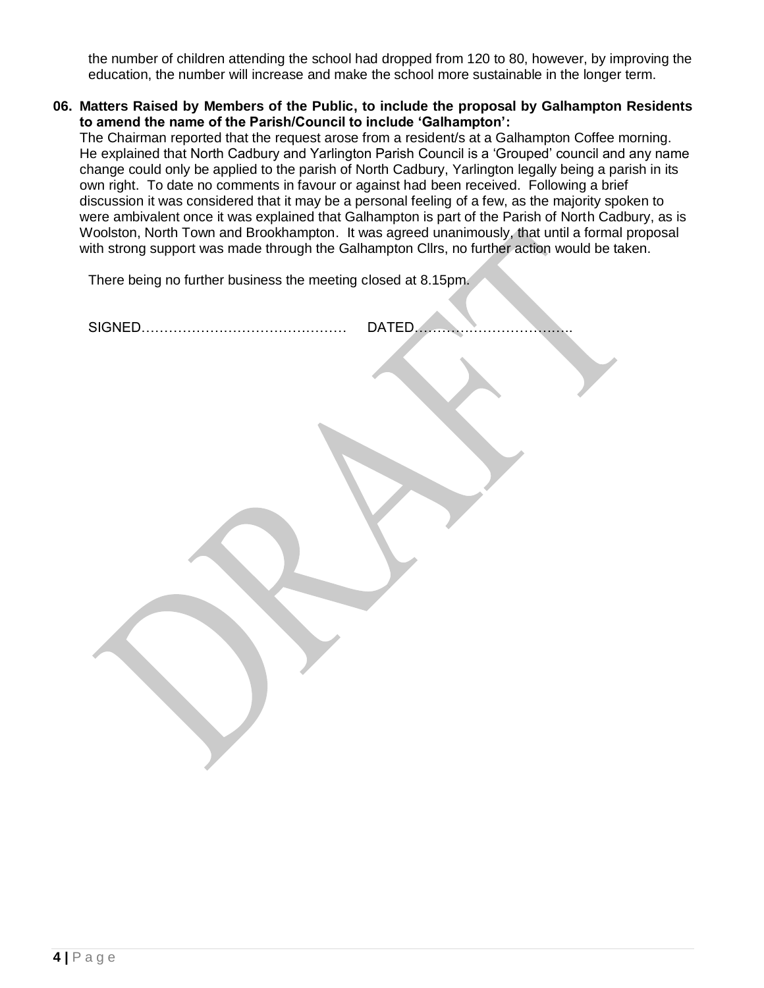the number of children attending the school had dropped from 120 to 80, however, by improving the education, the number will increase and make the school more sustainable in the longer term.

**06. Matters Raised by Members of the Public, to include the proposal by Galhampton Residents to amend the name of the Parish/Council to include 'Galhampton':**

The Chairman reported that the request arose from a resident/s at a Galhampton Coffee morning. He explained that North Cadbury and Yarlington Parish Council is a 'Grouped' council and any name change could only be applied to the parish of North Cadbury, Yarlington legally being a parish in its own right. To date no comments in favour or against had been received. Following a brief discussion it was considered that it may be a personal feeling of a few, as the majority spoken to were ambivalent once it was explained that Galhampton is part of the Parish of North Cadbury, as is Woolston, North Town and Brookhampton. It was agreed unanimously, that until a formal proposal with strong support was made through the Galhampton Cllrs, no further action would be taken.

There being no further business the meeting closed at 8.15pm.

| DATED |
|-------|
|       |
|       |
|       |
|       |
|       |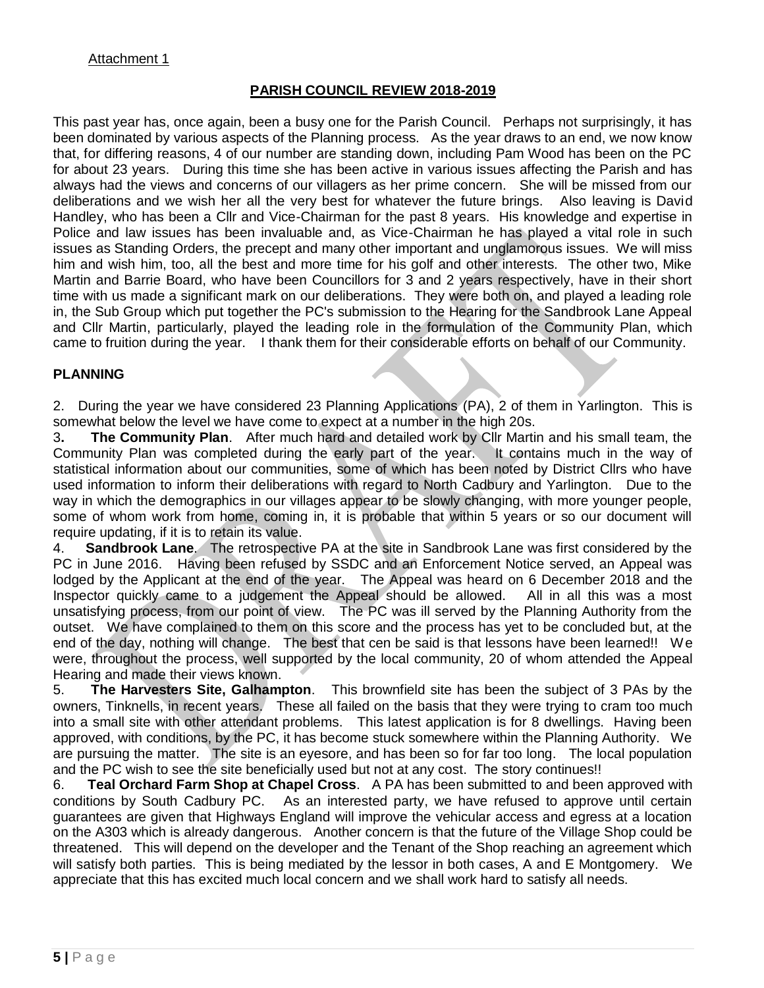## **PARISH COUNCIL REVIEW 2018-2019**

This past year has, once again, been a busy one for the Parish Council. Perhaps not surprisingly, it has been dominated by various aspects of the Planning process. As the year draws to an end, we now know that, for differing reasons, 4 of our number are standing down, including Pam Wood has been on the PC for about 23 years. During this time she has been active in various issues affecting the Parish and has always had the views and concerns of our villagers as her prime concern. She will be missed from our deliberations and we wish her all the very best for whatever the future brings. Also leaving is David Handley, who has been a Cllr and Vice-Chairman for the past 8 years. His knowledge and expertise in Police and law issues has been invaluable and, as Vice-Chairman he has played a vital role in such issues as Standing Orders, the precept and many other important and unglamorous issues. We will miss him and wish him, too, all the best and more time for his golf and other interests. The other two, Mike Martin and Barrie Board, who have been Councillors for 3 and 2 years respectively, have in their short time with us made a significant mark on our deliberations. They were both on, and played a leading role in, the Sub Group which put together the PC's submission to the Hearing for the Sandbrook Lane Appeal and Cllr Martin, particularly, played the leading role in the formulation of the Community Plan, which came to fruition during the year. I thank them for their considerable efforts on behalf of our Community.

## **PLANNING**

2. During the year we have considered 23 Planning Applications (PA), 2 of them in Yarlington. This is somewhat below the level we have come to expect at a number in the high 20s.

3**. The Community Plan**. After much hard and detailed work by Cllr Martin and his small team, the Community Plan was completed during the early part of the year. It contains much in the way of statistical information about our communities, some of which has been noted by District Cllrs who have used information to inform their deliberations with regard to North Cadbury and Yarlington. Due to the way in which the demographics in our villages appear to be slowly changing, with more younger people, some of whom work from home, coming in, it is probable that within 5 years or so our document will require updating, if it is to retain its value.

4. **Sandbrook Lane**. The retrospective PA at the site in Sandbrook Lane was first considered by the PC in June 2016. Having been refused by SSDC and an Enforcement Notice served, an Appeal was lodged by the Applicant at the end of the year. The Appeal was heard on 6 December 2018 and the Inspector quickly came to a judgement the Appeal should be allowed. All in all this was a most unsatisfying process, from our point of view. The PC was ill served by the Planning Authority from the outset. We have complained to them on this score and the process has yet to be concluded but, at the end of the day, nothing will change. The best that cen be said is that lessons have been learned!! We were, throughout the process, well supported by the local community, 20 of whom attended the Appeal Hearing and made their views known.

5. **The Harvesters Site, Galhampton**. This brownfield site has been the subject of 3 PAs by the owners, Tinknells, in recent years. These all failed on the basis that they were trying to cram too much into a small site with other attendant problems. This latest application is for 8 dwellings. Having been approved, with conditions, by the PC, it has become stuck somewhere within the Planning Authority. We are pursuing the matter. The site is an eyesore, and has been so for far too long. The local population and the PC wish to see the site beneficially used but not at any cost. The story continues!!

6. **Teal Orchard Farm Shop at Chapel Cross**. A PA has been submitted to and been approved with conditions by South Cadbury PC. As an interested party, we have refused to approve until certain guarantees are given that Highways England will improve the vehicular access and egress at a location on the A303 which is already dangerous. Another concern is that the future of the Village Shop could be threatened. This will depend on the developer and the Tenant of the Shop reaching an agreement which will satisfy both parties. This is being mediated by the lessor in both cases, A and E Montgomery. We appreciate that this has excited much local concern and we shall work hard to satisfy all needs.